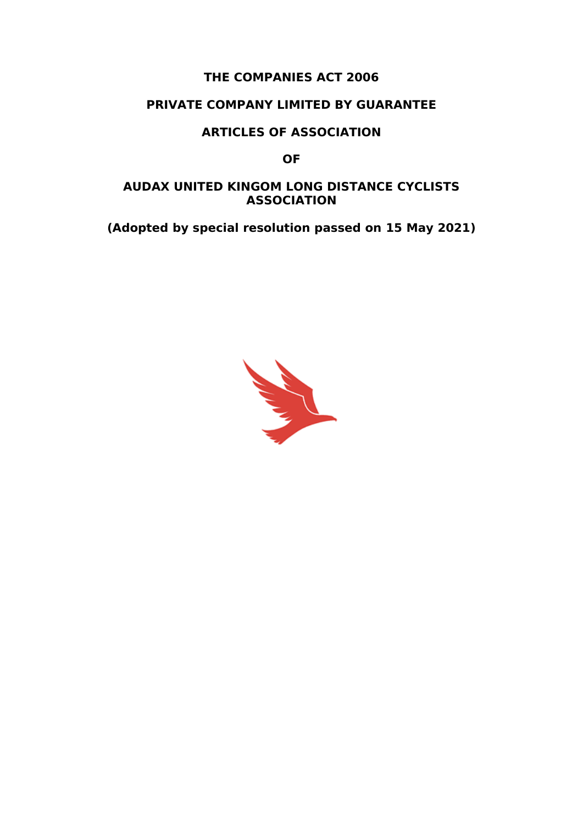### **THE COMPANIES ACT 2006**

### **PRIVATE COMPANY LIMITED BY GUARANTEE**

#### **ARTICLES OF ASSOCIATION**

**OF**

#### **AUDAX UNITED KINGOM LONG DISTANCE CYCLISTS ASSOCIATION**

**(Adopted by special resolution passed on 15 May 2021)**

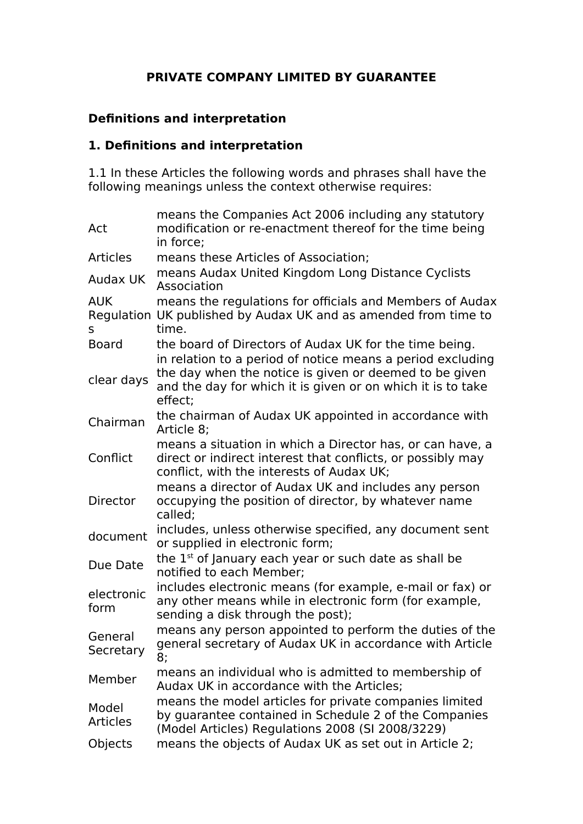## **PRIVATE COMPANY LIMITED BY GUARANTEE**

# **Definitions and interpretation**

#### **1. Definitions and interpretation**

1.1 In these Articles the following words and phrases shall have the following meanings unless the context otherwise requires:

| Act                      | means the Companies Act 2006 including any statutory<br>modification or re-enactment thereof for the time being<br>in force;                                                                   |
|--------------------------|------------------------------------------------------------------------------------------------------------------------------------------------------------------------------------------------|
| <b>Articles</b>          | means these Articles of Association;                                                                                                                                                           |
| <b>Audax UK</b>          | means Audax United Kingdom Long Distance Cyclists<br>Association                                                                                                                               |
| <b>AUK</b><br>S          | means the regulations for officials and Members of Audax<br>Regulation UK published by Audax UK and as amended from time to<br>time.                                                           |
| <b>Board</b>             | the board of Directors of Audax UK for the time being.                                                                                                                                         |
| clear days               | in relation to a period of notice means a period excluding<br>the day when the notice is given or deemed to be given<br>and the day for which it is given or on which it is to take<br>effect: |
| Chairman                 | the chairman of Audax UK appointed in accordance with<br>Article 8;                                                                                                                            |
| Conflict                 | means a situation in which a Director has, or can have, a<br>direct or indirect interest that conflicts, or possibly may<br>conflict, with the interests of Audax UK;                          |
| <b>Director</b>          | means a director of Audax UK and includes any person<br>occupying the position of director, by whatever name<br>called;                                                                        |
| document                 | includes, unless otherwise specified, any document sent<br>or supplied in electronic form;                                                                                                     |
| Due Date                 | the $1st$ of January each year or such date as shall be<br>notified to each Member;                                                                                                            |
| electronic<br>form       | includes electronic means (for example, e-mail or fax) or<br>any other means while in electronic form (for example,<br>sending a disk through the post);                                       |
| General<br>Secretary     | means any person appointed to perform the duties of the<br>general secretary of Audax UK in accordance with Article<br>8;                                                                      |
| Member                   | means an individual who is admitted to membership of<br>Audax UK in accordance with the Articles;                                                                                              |
| Model<br><b>Articles</b> | means the model articles for private companies limited<br>by guarantee contained in Schedule 2 of the Companies<br>(Model Articles) Regulations 2008 (SI 2008/3229)                            |
| <b>Objects</b>           | means the objects of Audax UK as set out in Article 2;                                                                                                                                         |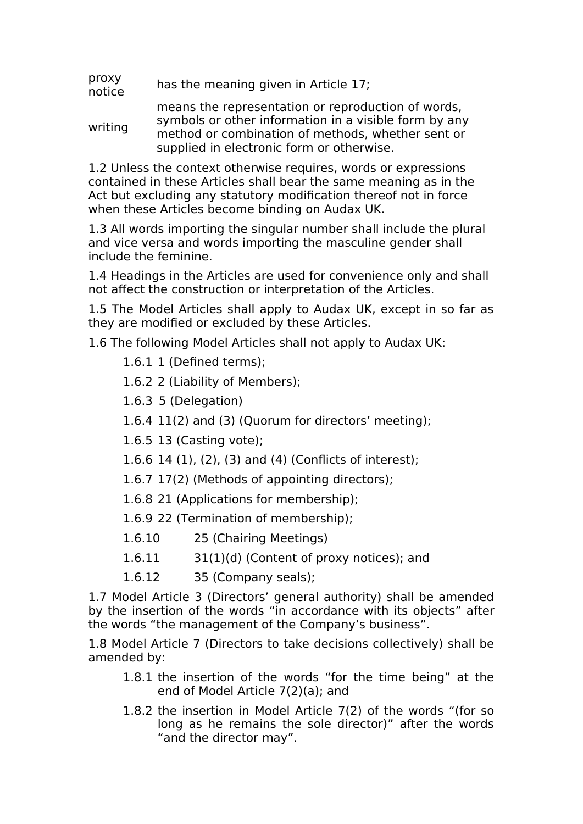- proxy proxy has the meaning given in Article 17;<br>notice
- writing means the representation or reproduction of words, symbols or other information in a visible form by any method or combination of methods, whether sent or supplied in electronic form or otherwise.

1.2 Unless the context otherwise requires, words or expressions contained in these Articles shall bear the same meaning as in the Act but excluding any statutory modification thereof not in force when these Articles become binding on Audax UK.

1.3 All words importing the singular number shall include the plural and vice versa and words importing the masculine gender shall include the feminine.

1.4 Headings in the Articles are used for convenience only and shall not affect the construction or interpretation of the Articles.

1.5 The Model Articles shall apply to Audax UK, except in so far as they are modified or excluded by these Articles.

1.6 The following Model Articles shall not apply to Audax UK:

- 1.6.1 1 (Defined terms);
- 1.6.2 2 (Liability of Members);
- 1.6.3 5 (Delegation)
- 1.6.4 11(2) and (3) (Quorum for directors' meeting);
- 1.6.5 13 (Casting vote);
- 1.6.6 14 (1), (2), (3) and (4) (Conflicts of interest);
- 1.6.7 17(2) (Methods of appointing directors);
- 1.6.8 21 (Applications for membership);
- 1.6.9 22 (Termination of membership);
- 1.6.10 25 (Chairing Meetings)
- 1.6.11 31(1)(d) (Content of proxy notices); and
- 1.6.12 35 (Company seals);

1.7 Model Article 3 (Directors' general authority) shall be amended by the insertion of the words "in accordance with its objects" after the words "the management of the Company's business".

1.8 Model Article 7 (Directors to take decisions collectively) shall be amended by:

- 1.8.1 the insertion of the words "for the time being" at the end of Model Article 7(2)(a); and
- 1.8.2 the insertion in Model Article 7(2) of the words "(for so long as he remains the sole director)" after the words "and the director may".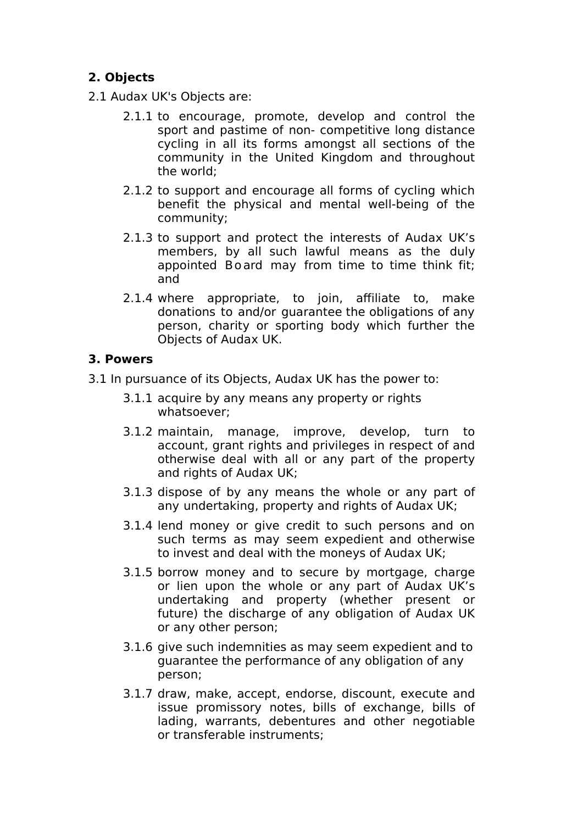# **2. Objects**

2.1 Audax UK's Objects are:

- 2.1.1 to encourage, promote, develop and control the sport and pastime of non- competitive long distance cycling in all its forms amongst all sections of the community in the United Kingdom and throughout the world;
- 2.1.2 to support and encourage all forms of cycling which benefit the physical and mental well-being of the community;
- 2.1.3 to support and protect the interests of Audax UK's members, by all such lawful means as the duly appointed Board may from time to time think fit; and
- 2.1.4 where appropriate, to join, affiliate to, make donations to and/or guarantee the obligations of any person, charity or sporting body which further the Objects of Audax UK.

## **3. Powers**

3.1 In pursuance of its Objects, Audax UK has the power to:

- 3.1.1 acquire by any means any property or rights whatsoever;
- 3.1.2 maintain, manage, improve, develop, turn to account, grant rights and privileges in respect of and otherwise deal with all or any part of the property and rights of Audax UK;
- 3.1.3 dispose of by any means the whole or any part of any undertaking, property and rights of Audax UK;
- 3.1.4 lend money or give credit to such persons and on such terms as may seem expedient and otherwise to invest and deal with the moneys of Audax UK;
- 3.1.5 borrow money and to secure by mortgage, charge or lien upon the whole or any part of Audax UK's undertaking and property (whether present or future) the discharge of any obligation of Audax UK or any other person;
- 3.1.6 give such indemnities as may seem expedient and to guarantee the performance of any obligation of any person;
- 3.1.7 draw, make, accept, endorse, discount, execute and issue promissory notes, bills of exchange, bills of lading, warrants, debentures and other negotiable or transferable instruments;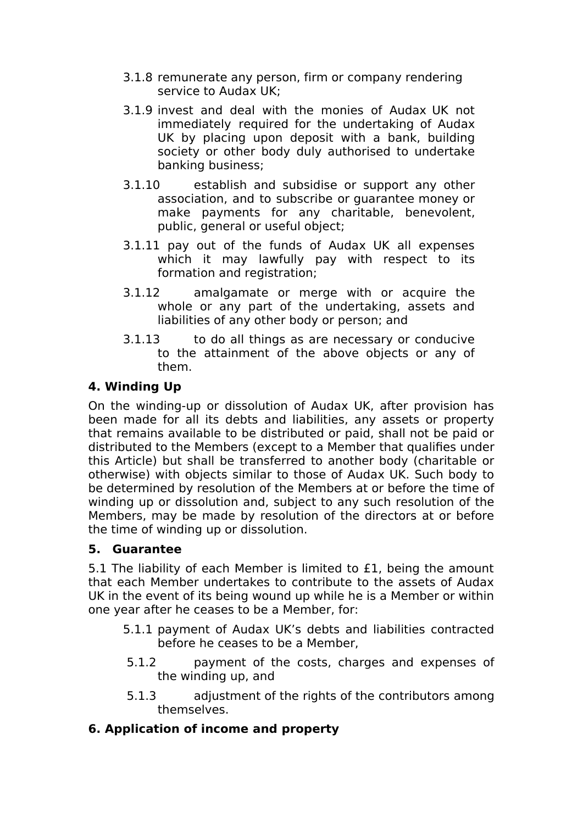- 3.1.8 remunerate any person, firm or company rendering service to Audax UK;
- 3.1.9 invest and deal with the monies of Audax UK not immediately required for the undertaking of Audax UK by placing upon deposit with a bank, building society or other body duly authorised to undertake banking business;
- 3.1.10 establish and subsidise or support any other association, and to subscribe or guarantee money or make payments for any charitable, benevolent, public, general or useful object;
- 3.1.11 pay out of the funds of Audax UK all expenses which it may lawfully pay with respect to its formation and registration;
- 3.1.12 amalgamate or merge with or acquire the whole or any part of the undertaking, assets and liabilities of any other body or person; and
- 3.1.13 to do all things as are necessary or conducive to the attainment of the above objects or any of them.

## **4. Winding Up**

On the winding-up or dissolution of Audax UK, after provision has been made for all its debts and liabilities, any assets or property that remains available to be distributed or paid, shall not be paid or distributed to the Members (except to a Member that qualifies under this Article) but shall be transferred to another body (charitable or otherwise) with objects similar to those of Audax UK. Such body to be determined by resolution of the Members at or before the time of winding up or dissolution and, subject to any such resolution of the Members, may be made by resolution of the directors at or before the time of winding up or dissolution.

## **5. Guarantee**

5.1 The liability of each Member is limited to £1, being the amount that each Member undertakes to contribute to the assets of Audax UK in the event of its being wound up while he is a Member or within one year after he ceases to be a Member, for:

- 5.1.1 payment of Audax UK's debts and liabilities contracted before he ceases to be a Member,
- 5.1.2 payment of the costs, charges and expenses of the winding up, and
- 5.1.3 adjustment of the rights of the contributors among themselves.

# **6. Application of income and property**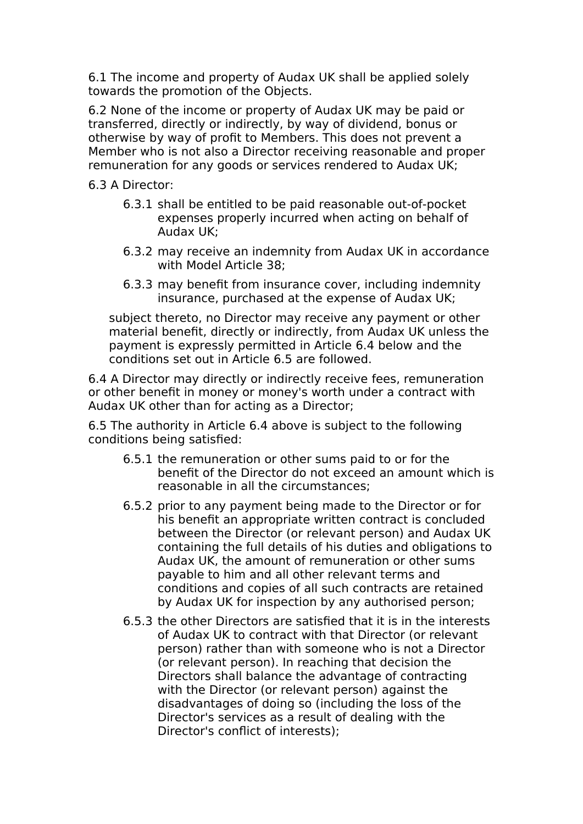6.1 The income and property of Audax UK shall be applied solely towards the promotion of the Objects.

6.2 None of the income or property of Audax UK may be paid or transferred, directly or indirectly, by way of dividend, bonus or otherwise by way of profit to Members. This does not prevent a Member who is not also a Director receiving reasonable and proper remuneration for any goods or services rendered to Audax UK;

6.3 A Director:

- 6.3.1 shall be entitled to be paid reasonable out-of-pocket expenses properly incurred when acting on behalf of Audax UK;
- 6.3.2 may receive an indemnity from Audax UK in accordance with Model Article 38;
- 6.3.3 may benefit from insurance cover, including indemnity insurance, purchased at the expense of Audax UK;

subject thereto, no Director may receive any payment or other material benefit, directly or indirectly, from Audax UK unless the payment is expressly permitted in Article 6.4 below and the conditions set out in Article 6.5 are followed.

6.4 A Director may directly or indirectly receive fees, remuneration or other benefit in money or money's worth under a contract with Audax UK other than for acting as a Director;

6.5 The authority in Article 6.4 above is subject to the following conditions being satisfied:

- 6.5.1 the remuneration or other sums paid to or for the benefit of the Director do not exceed an amount which is reasonable in all the circumstances;
- 6.5.2 prior to any payment being made to the Director or for his benefit an appropriate written contract is concluded between the Director (or relevant person) and Audax UK containing the full details of his duties and obligations to Audax UK, the amount of remuneration or other sums payable to him and all other relevant terms and conditions and copies of all such contracts are retained by Audax UK for inspection by any authorised person;
- 6.5.3 the other Directors are satisfied that it is in the interests of Audax UK to contract with that Director (or relevant person) rather than with someone who is not a Director (or relevant person). In reaching that decision the Directors shall balance the advantage of contracting with the Director (or relevant person) against the disadvantages of doing so (including the loss of the Director's services as a result of dealing with the Director's conflict of interests);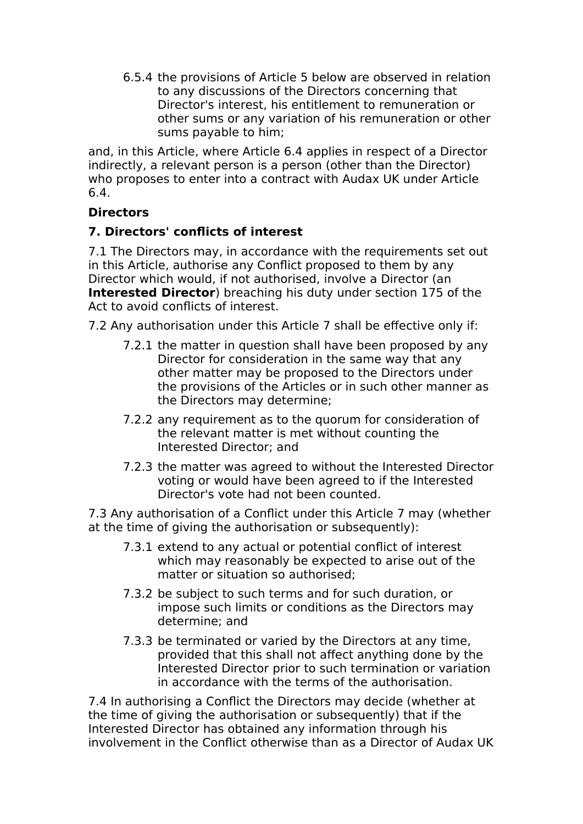6.5.4 the provisions of Article 5 below are observed in relation to any discussions of the Directors concerning that Director's interest, his entitlement to remuneration or other sums or any variation of his remuneration or other sums payable to him;

and, in this Article, where Article 6.4 applies in respect of a Director indirectly, a relevant person is a person (other than the Director) who proposes to enter into a contract with Audax UK under Article 6.4.

## **Directors**

### **7. Directors' conflicts of interest**

7.1 The Directors may, in accordance with the requirements set out in this Article, authorise any Conflict proposed to them by any Director which would, if not authorised, involve a Director (an **Interested Director**) breaching his duty under section 175 of the Act to avoid conflicts of interest.

7.2 Any authorisation under this Article 7 shall be effective only if:

- 7.2.1 the matter in question shall have been proposed by any Director for consideration in the same way that any other matter may be proposed to the Directors under the provisions of the Articles or in such other manner as the Directors may determine;
- 7.2.2 any requirement as to the quorum for consideration of the relevant matter is met without counting the Interested Director; and
- 7.2.3 the matter was agreed to without the Interested Director voting or would have been agreed to if the Interested Director's vote had not been counted.

7.3 Any authorisation of a Conflict under this Article 7 may (whether at the time of giving the authorisation or subsequently):

- 7.3.1 extend to any actual or potential conflict of interest which may reasonably be expected to arise out of the matter or situation so authorised;
- 7.3.2 be subject to such terms and for such duration, or impose such limits or conditions as the Directors may determine; and
- 7.3.3 be terminated or varied by the Directors at any time, provided that this shall not affect anything done by the Interested Director prior to such termination or variation in accordance with the terms of the authorisation.

7.4 In authorising a Conflict the Directors may decide (whether at the time of giving the authorisation or subsequently) that if the Interested Director has obtained any information through his involvement in the Conflict otherwise than as a Director of Audax UK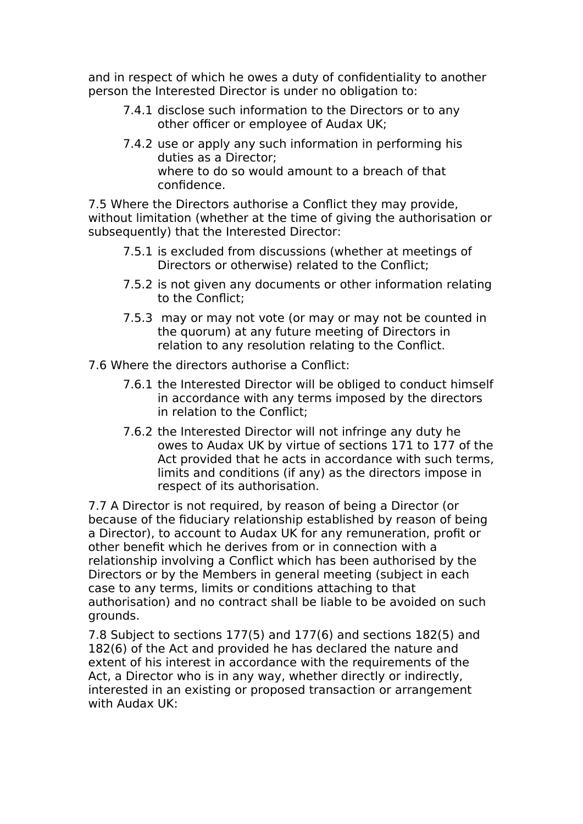and in respect of which he owes a duty of confidentiality to another person the Interested Director is under no obligation to:

- 7.4.1 disclose such information to the Directors or to any other officer or employee of Audax UK;
- 7.4.2 use or apply any such information in performing his duties as a Director; where to do so would amount to a breach of that confidence.

7.5 Where the Directors authorise a Conflict they may provide, without limitation (whether at the time of giving the authorisation or subsequently) that the Interested Director:

- 7.5.1 is excluded from discussions (whether at meetings of Directors or otherwise) related to the Conflict;
- 7.5.2 is not given any documents or other information relating to the Conflict;
- 7.5.3 may or may not vote (or may or may not be counted in the quorum) at any future meeting of Directors in relation to any resolution relating to the Conflict.

7.6 Where the directors authorise a Conflict:

- 7.6.1 the Interested Director will be obliged to conduct himself in accordance with any terms imposed by the directors in relation to the Conflict;
- 7.6.2 the Interested Director will not infringe any duty he owes to Audax UK by virtue of sections 171 to 177 of the Act provided that he acts in accordance with such terms, limits and conditions (if any) as the directors impose in respect of its authorisation.

7.7 A Director is not required, by reason of being a Director (or because of the fiduciary relationship established by reason of being a Director), to account to Audax UK for any remuneration, profit or other benefit which he derives from or in connection with a relationship involving a Conflict which has been authorised by the Directors or by the Members in general meeting (subject in each case to any terms, limits or conditions attaching to that authorisation) and no contract shall be liable to be avoided on such grounds.

7.8 Subject to sections 177(5) and 177(6) and sections 182(5) and 182(6) of the Act and provided he has declared the nature and extent of his interest in accordance with the requirements of the Act, a Director who is in any way, whether directly or indirectly, interested in an existing or proposed transaction or arrangement with Audax UK: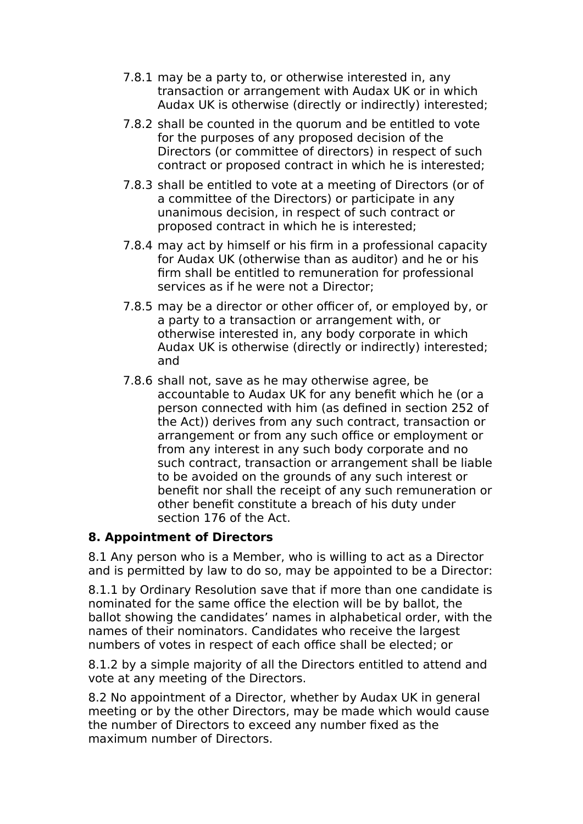- 7.8.1 may be a party to, or otherwise interested in, any transaction or arrangement with Audax UK or in which Audax UK is otherwise (directly or indirectly) interested;
- 7.8.2 shall be counted in the quorum and be entitled to vote for the purposes of any proposed decision of the Directors (or committee of directors) in respect of such contract or proposed contract in which he is interested;
- 7.8.3 shall be entitled to vote at a meeting of Directors (or of a committee of the Directors) or participate in any unanimous decision, in respect of such contract or proposed contract in which he is interested;
- 7.8.4 may act by himself or his firm in a professional capacity for Audax UK (otherwise than as auditor) and he or his firm shall be entitled to remuneration for professional services as if he were not a Director;
- 7.8.5 may be a director or other officer of, or employed by, or a party to a transaction or arrangement with, or otherwise interested in, any body corporate in which Audax UK is otherwise (directly or indirectly) interested; and
- 7.8.6 shall not, save as he may otherwise agree, be accountable to Audax UK for any benefit which he (or a person connected with him (as defined in section 252 of the Act)) derives from any such contract, transaction or arrangement or from any such office or employment or from any interest in any such body corporate and no such contract, transaction or arrangement shall be liable to be avoided on the grounds of any such interest or benefit nor shall the receipt of any such remuneration or other benefit constitute a breach of his duty under section 176 of the Act.

## **8. Appointment of Directors**

8.1 Any person who is a Member, who is willing to act as a Director and is permitted by law to do so, may be appointed to be a Director:

8.1.1 by Ordinary Resolution save that if more than one candidate is nominated for the same office the election will be by ballot, the ballot showing the candidates' names in alphabetical order, with the names of their nominators. Candidates who receive the largest numbers of votes in respect of each office shall be elected; or

8.1.2 by a simple majority of all the Directors entitled to attend and vote at any meeting of the Directors.

8.2 No appointment of a Director, whether by Audax UK in general meeting or by the other Directors, may be made which would cause the number of Directors to exceed any number fixed as the maximum number of Directors.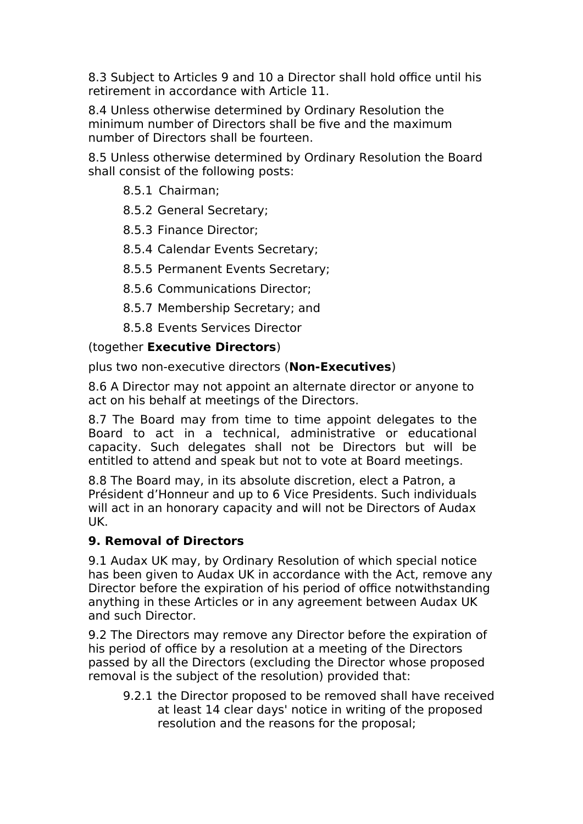8.3 Subject to Articles 9 and 10 a Director shall hold office until his retirement in accordance with Article 11.

8.4 Unless otherwise determined by Ordinary Resolution the minimum number of Directors shall be five and the maximum number of Directors shall be fourteen.

8.5 Unless otherwise determined by Ordinary Resolution the Board shall consist of the following posts:

8.5.1 Chairman;

8.5.2 General Secretary;

8.5.3 Finance Director;

- 8.5.4 Calendar Events Secretary;
- 8.5.5 Permanent Events Secretary;
- 8.5.6 Communications Director;
- 8.5.7 Membership Secretary; and
- 8.5.8 Events Services Director

## (together **Executive Directors**)

plus two non-executive directors (**Non-Executives**)

8.6 A Director may not appoint an alternate director or anyone to act on his behalf at meetings of the Directors.

8.7 The Board may from time to time appoint delegates to the Board to act in a technical, administrative or educational capacity. Such delegates shall not be Directors but will be entitled to attend and speak but not to vote at Board meetings.

8.8 The Board may, in its absolute discretion, elect a Patron, a Président d'Honneur and up to 6 Vice Presidents. Such individuals will act in an honorary capacity and will not be Directors of Audax UK.

# **9. Removal of Directors**

9.1 Audax UK may, by Ordinary Resolution of which special notice has been given to Audax UK in accordance with the Act, remove any Director before the expiration of his period of office notwithstanding anything in these Articles or in any agreement between Audax UK and such Director.

9.2 The Directors may remove any Director before the expiration of his period of office by a resolution at a meeting of the Directors passed by all the Directors (excluding the Director whose proposed removal is the subject of the resolution) provided that:

9.2.1 the Director proposed to be removed shall have received at least 14 clear days' notice in writing of the proposed resolution and the reasons for the proposal;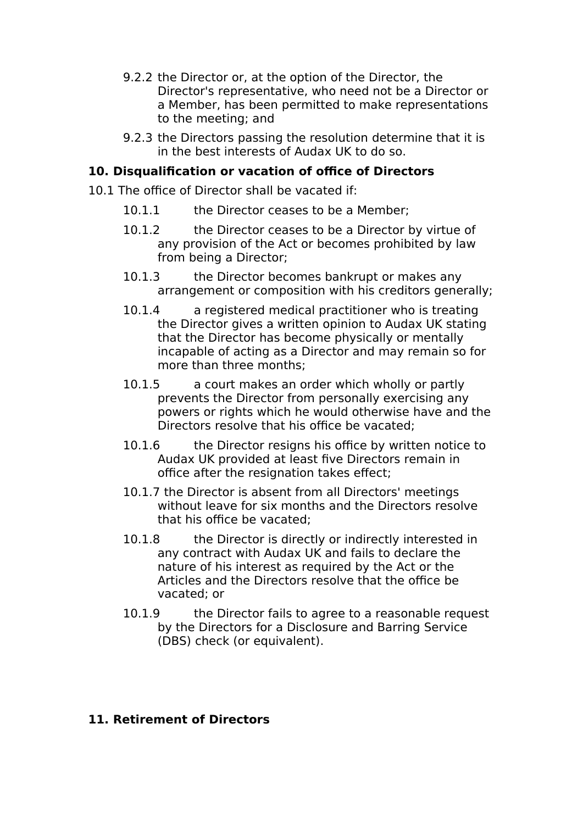- 9.2.2 the Director or, at the option of the Director, the Director's representative, who need not be a Director or a Member, has been permitted to make representations to the meeting; and
- 9.2.3 the Directors passing the resolution determine that it is in the best interests of Audax UK to do so.

### **10. Disqualification or vacation of office of Directors**

- 10.1 The office of Director shall be vacated if:
	- 10.1.1 the Director ceases to be a Member:
	- 10.1.2 the Director ceases to be a Director by virtue of any provision of the Act or becomes prohibited by law from being a Director;
	- 10.1.3 the Director becomes bankrupt or makes any arrangement or composition with his creditors generally;
	- 10.1.4 a registered medical practitioner who is treating the Director gives a written opinion to Audax UK stating that the Director has become physically or mentally incapable of acting as a Director and may remain so for more than three months;
	- 10.1.5 a court makes an order which wholly or partly prevents the Director from personally exercising any powers or rights which he would otherwise have and the Directors resolve that his office be vacated;
	- 10.1.6 the Director resigns his office by written notice to Audax UK provided at least five Directors remain in office after the resignation takes effect;
	- 10.1.7 the Director is absent from all Directors' meetings without leave for six months and the Directors resolve that his office be vacated;
	- 10.1.8 the Director is directly or indirectly interested in any contract with Audax UK and fails to declare the nature of his interest as required by the Act or the Articles and the Directors resolve that the office be vacated; or
	- 10.1.9 the Director fails to agree to a reasonable request by the Directors for a Disclosure and Barring Service (DBS) check (or equivalent).

#### **11. Retirement of Directors**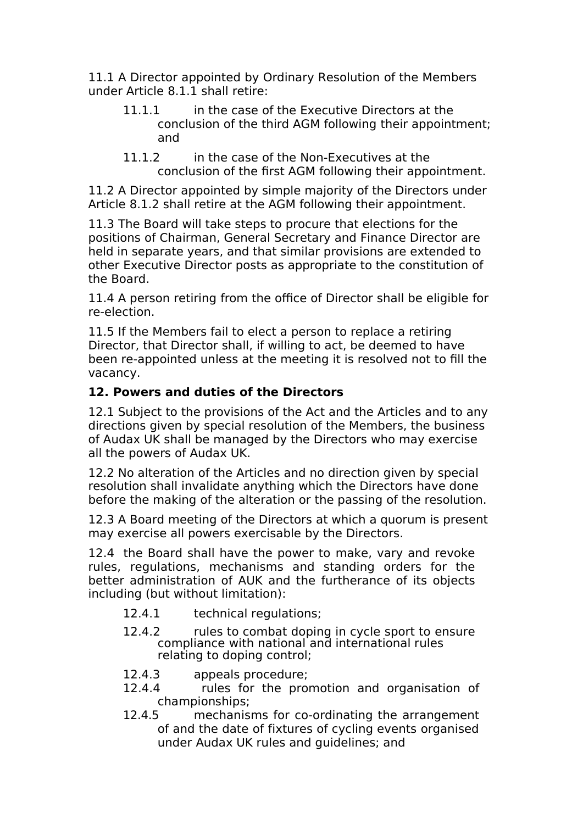11.1 A Director appointed by Ordinary Resolution of the Members under Article 8.1.1 shall retire:

- 11.1.1 in the case of the Executive Directors at the conclusion of the third AGM following their appointment; and
- 11.1.2 in the case of the Non-Executives at the conclusion of the first AGM following their appointment.

11.2 A Director appointed by simple majority of the Directors under Article 8.1.2 shall retire at the AGM following their appointment.

11.3 The Board will take steps to procure that elections for the positions of Chairman, General Secretary and Finance Director are held in separate years, and that similar provisions are extended to other Executive Director posts as appropriate to the constitution of the Board.

11.4 A person retiring from the office of Director shall be eligible for re-election.

11.5 If the Members fail to elect a person to replace a retiring Director, that Director shall, if willing to act, be deemed to have been re-appointed unless at the meeting it is resolved not to fill the vacancy.

# **12. Powers and duties of the Directors**

12.1 Subject to the provisions of the Act and the Articles and to any directions given by special resolution of the Members, the business of Audax UK shall be managed by the Directors who may exercise all the powers of Audax UK.

12.2 No alteration of the Articles and no direction given by special resolution shall invalidate anything which the Directors have done before the making of the alteration or the passing of the resolution.

12.3 A Board meeting of the Directors at which a quorum is present may exercise all powers exercisable by the Directors.

12.4 the Board shall have the power to make, vary and revoke rules, regulations, mechanisms and standing orders for the better administration of AUK and the furtherance of its objects including (but without limitation):

- 12.4.1 technical regulations;
- 12.4.2 rules to combat doping in cycle sport to ensure compliance with national and international rules relating to doping control;
- 12.4.3 appeals procedure;
- 12.4.4 rules for the promotion and organisation of championships;
- 12.4.5 mechanisms for co-ordinating the arrangement of and the date of fixtures of cycling events organised under Audax UK rules and guidelines; and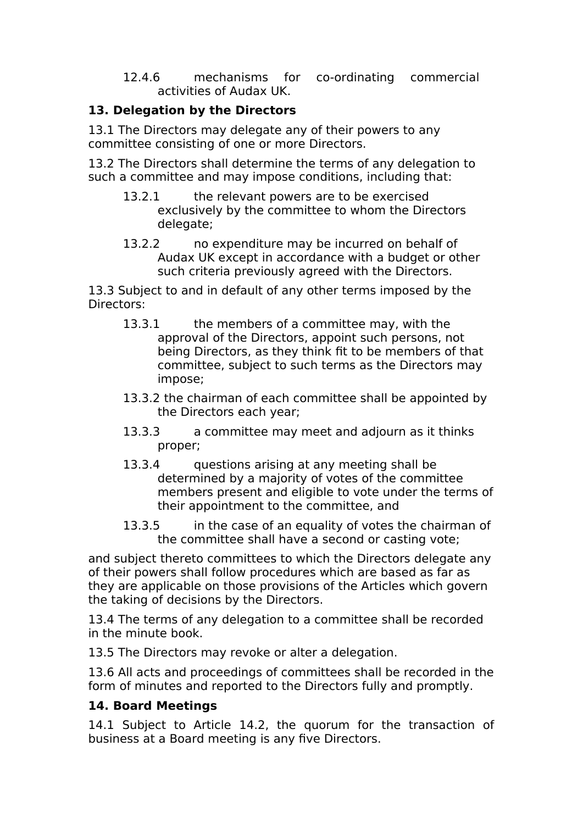12.4.6 mechanisms for co-ordinating commercial activities of Audax UK.

# **13. Delegation by the Directors**

13.1 The Directors may delegate any of their powers to any committee consisting of one or more Directors.

13.2 The Directors shall determine the terms of any delegation to such a committee and may impose conditions, including that:

- 13.2.1 the relevant powers are to be exercised exclusively by the committee to whom the Directors delegate;
- 13.2.2 no expenditure may be incurred on behalf of Audax UK except in accordance with a budget or other such criteria previously agreed with the Directors.

13.3 Subject to and in default of any other terms imposed by the Directors:

- 13.3.1 the members of a committee may, with the approval of the Directors, appoint such persons, not being Directors, as they think fit to be members of that committee, subject to such terms as the Directors may impose;
- 13.3.2 the chairman of each committee shall be appointed by the Directors each year;
- 13.3.3 a committee may meet and adjourn as it thinks proper;
- 13.3.4 questions arising at any meeting shall be determined by a majority of votes of the committee members present and eligible to vote under the terms of their appointment to the committee, and
- 13.3.5 in the case of an equality of votes the chairman of the committee shall have a second or casting vote;

and subject thereto committees to which the Directors delegate any of their powers shall follow procedures which are based as far as they are applicable on those provisions of the Articles which govern the taking of decisions by the Directors.

13.4 The terms of any delegation to a committee shall be recorded in the minute book.

13.5 The Directors may revoke or alter a delegation.

13.6 All acts and proceedings of committees shall be recorded in the form of minutes and reported to the Directors fully and promptly.

# **14. Board Meetings**

14.1 Subject to Article 14.2, the quorum for the transaction of business at a Board meeting is any five Directors.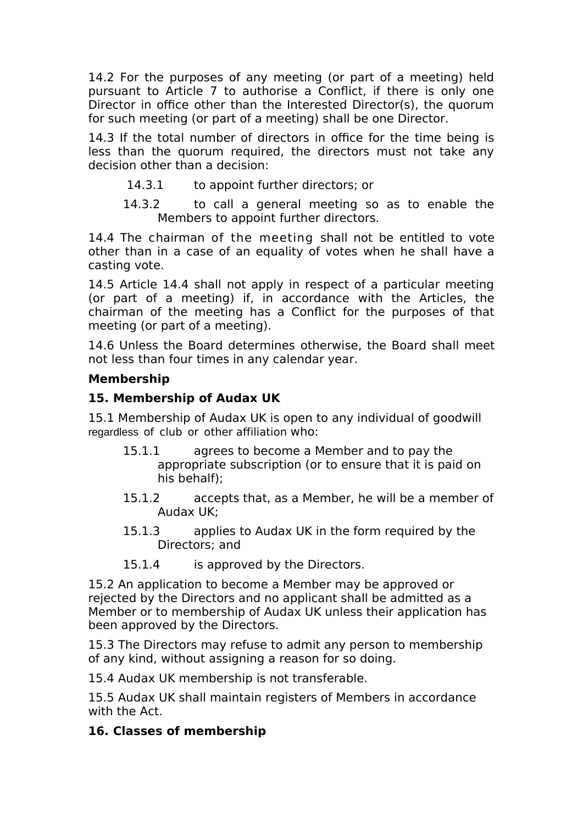14.2 For the purposes of any meeting (or part of a meeting) held pursuant to Article 7 to authorise a Conflict, if there is only one Director in office other than the Interested Director(s), the quorum for such meeting (or part of a meeting) shall be one Director.

14.3 If the total number of directors in office for the time being is less than the quorum required, the directors must not take any decision other than a decision:

- 14.3.1 to appoint further directors; or
- 14.3.2 to call a general meeting so as to enable the Members to appoint further directors.

14.4 The chairman of the meeting shall not be entitled to vote other than in a case of an equality of votes when he shall have a casting vote.

14.5 Article 14.4 shall not apply in respect of a particular meeting (or part of a meeting) if, in accordance with the Articles, the chairman of the meeting has a Conflict for the purposes of that meeting (or part of a meeting).

14.6 Unless the Board determines otherwise, the Board shall meet not less than four times in any calendar year.

### **Membership**

### **15. Membership of Audax UK**

15.1 Membership of Audax UK is open to any individual of goodwill regardless of club or other affiliation who:

- 15.1.1 agrees to become a Member and to pay the appropriate subscription (or to ensure that it is paid on his behalf);
- 15.1.2 accepts that, as a Member, he will be a member of Audax UK;
- 15.1.3 applies to Audax UK in the form required by the Directors; and
- 15.1.4 is approved by the Directors.

15.2 An application to become a Member may be approved or rejected by the Directors and no applicant shall be admitted as a Member or to membership of Audax UK unless their application has been approved by the Directors.

15.3 The Directors may refuse to admit any person to membership of any kind, without assigning a reason for so doing.

15.4 Audax UK membership is not transferable.

15.5 Audax UK shall maintain registers of Members in accordance with the Act.

#### **16. Classes of membership**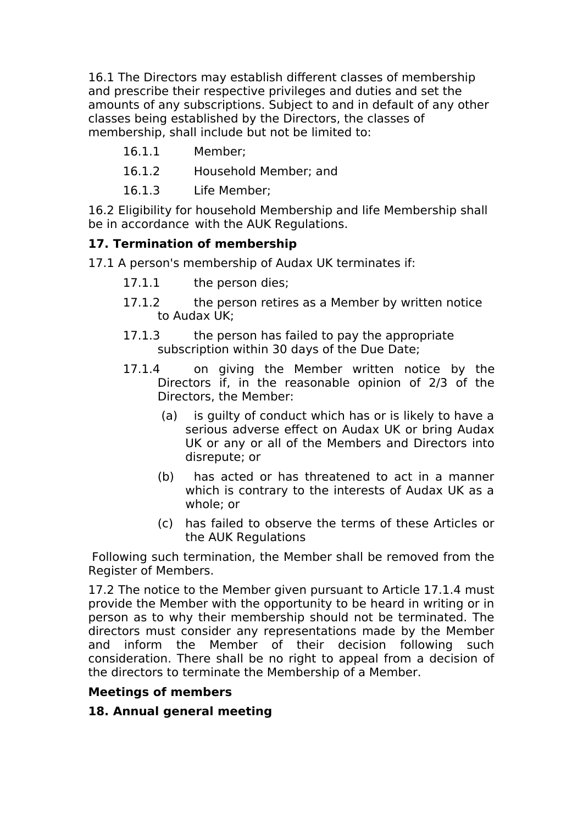16.1 The Directors may establish different classes of membership and prescribe their respective privileges and duties and set the amounts of any subscriptions. Subject to and in default of any other classes being established by the Directors, the classes of membership, shall include but not be limited to:

- 16.1.1 Member;
- 16.1.2 Household Member; and
- 16.1.3 Life Member;

16.2 Eligibility for household Membership and life Membership shall be in accordance with the AUK Regulations.

## **17. Termination of membership**

17.1 A person's membership of Audax UK terminates if:

- 17.1.1 the person dies;
- 17.1.2 the person retires as a Member by written notice to Audax UK;
- 17.1.3 the person has failed to pay the appropriate subscription within 30 days of the Due Date;
- 17.1.4 on giving the Member written notice by the Directors if, in the reasonable opinion of 2/3 of the Directors, the Member:
	- (a) is guilty of conduct which has or is likely to have a serious adverse effect on Audax UK or bring Audax UK or any or all of the Members and Directors into disrepute; or
	- (b) has acted or has threatened to act in a manner which is contrary to the interests of Audax UK as a whole; or
	- (c) has failed to observe the terms of these Articles or the AUK Regulations

Following such termination, the Member shall be removed from the Register of Members.

17.2 The notice to the Member given pursuant to Article 17.1.4 must provide the Member with the opportunity to be heard in writing or in person as to why their membership should not be terminated. The directors must consider any representations made by the Member and inform the Member of their decision following such consideration. There shall be no right to appeal from a decision of the directors to terminate the Membership of a Member.

## **Meetings of members**

## **18. Annual general meeting**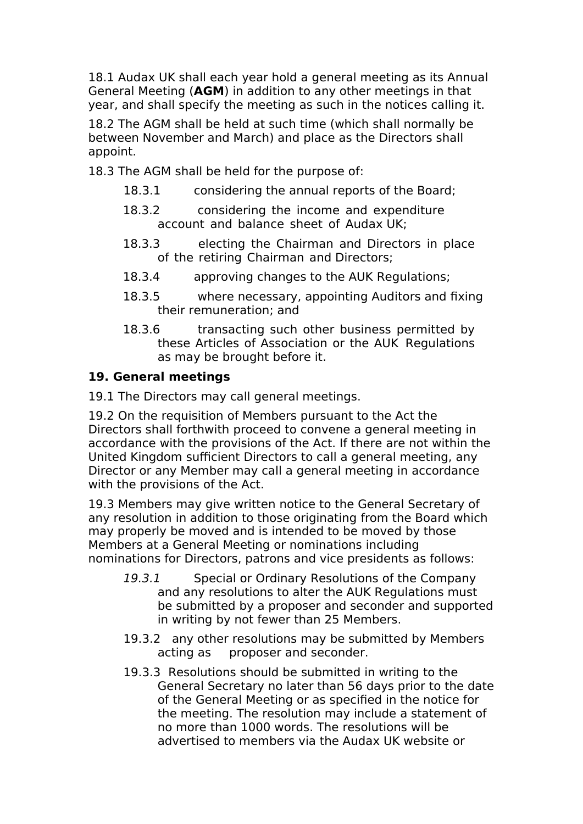18.1 Audax UK shall each year hold a general meeting as its Annual General Meeting (**AGM**) in addition to any other meetings in that year, and shall specify the meeting as such in the notices calling it.

18.2 The AGM shall be held at such time (which shall normally be between November and March) and place as the Directors shall appoint.

18.3 The AGM shall be held for the purpose of:

- 18.3.1 considering the annual reports of the Board;
- 18.3.2 considering the income and expenditure account and balance sheet of Audax UK;
- 18.3.3 electing the Chairman and Directors in place of the retiring Chairman and Directors;
- 18.3.4 approving changes to the AUK Regulations;
- 18.3.5 where necessary, appointing Auditors and fixing their remuneration; and
- 18.3.6 transacting such other business permitted by these Articles of Association or the AUK Regulations as may be brought before it.

## **19. General meetings**

19.1 The Directors may call general meetings.

19.2 On the requisition of Members pursuant to the Act the Directors shall forthwith proceed to convene a general meeting in accordance with the provisions of the Act. If there are not within the United Kingdom sufficient Directors to call a general meeting, any Director or any Member may call a general meeting in accordance with the provisions of the Act.

19.3 Members may give written notice to the General Secretary of any resolution in addition to those originating from the Board which may properly be moved and is intended to be moved by those Members at a General Meeting or nominations including nominations for Directors, patrons and vice presidents as follows:

- 19.3.1 Special or Ordinary Resolutions of the Company and any resolutions to alter the AUK Regulations must be submitted by a proposer and seconder and supported in writing by not fewer than 25 Members.
- 19.3.2 any other resolutions may be submitted by Members acting as proposer and seconder.
- 19.3.3 Resolutions should be submitted in writing to the General Secretary no later than 56 days prior to the date of the General Meeting or as specified in the notice for the meeting. The resolution may include a statement of no more than 1000 words. The resolutions will be advertised to members via the Audax UK website or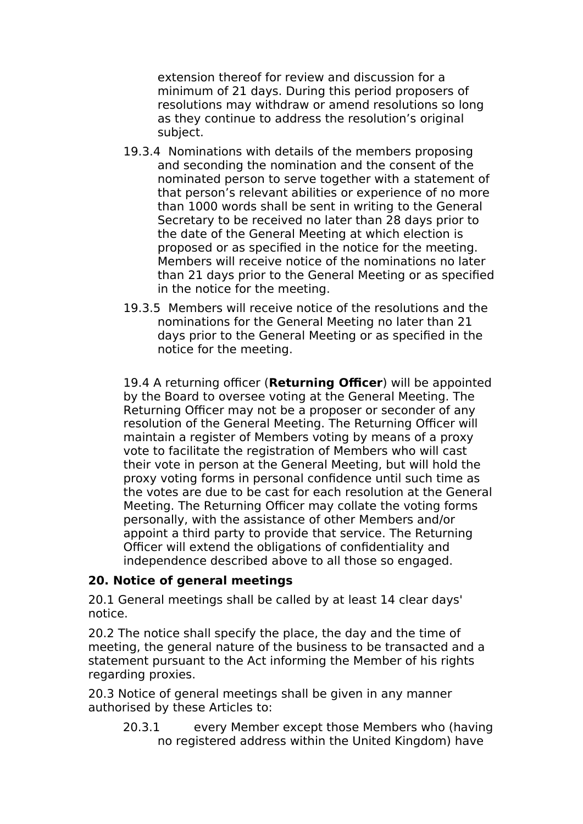extension thereof for review and discussion for a minimum of 21 days. During this period proposers of resolutions may withdraw or amend resolutions so long as they continue to address the resolution's original subject.

- 19.3.4 Nominations with details of the members proposing and seconding the nomination and the consent of the nominated person to serve together with a statement of that person's relevant abilities or experience of no more than 1000 words shall be sent in writing to the General Secretary to be received no later than 28 days prior to the date of the General Meeting at which election is proposed or as specified in the notice for the meeting. Members will receive notice of the nominations no later than 21 days prior to the General Meeting or as specified in the notice for the meeting.
- 19.3.5 Members will receive notice of the resolutions and the nominations for the General Meeting no later than 21 days prior to the General Meeting or as specified in the notice for the meeting.

19.4 A returning officer (**Returning Officer**) will be appointed by the Board to oversee voting at the General Meeting. The Returning Officer may not be a proposer or seconder of any resolution of the General Meeting. The Returning Officer will maintain a register of Members voting by means of a proxy vote to facilitate the registration of Members who will cast their vote in person at the General Meeting, but will hold the proxy voting forms in personal confidence until such time as the votes are due to be cast for each resolution at the General Meeting. The Returning Officer may collate the voting forms personally, with the assistance of other Members and/or appoint a third party to provide that service. The Returning Officer will extend the obligations of confidentiality and independence described above to all those so engaged.

#### **20. Notice of general meetings**

20.1 General meetings shall be called by at least 14 clear days' notice.

20.2 The notice shall specify the place, the day and the time of meeting, the general nature of the business to be transacted and a statement pursuant to the Act informing the Member of his rights regarding proxies.

20.3 Notice of general meetings shall be given in any manner authorised by these Articles to:

20.3.1 every Member except those Members who (having no registered address within the United Kingdom) have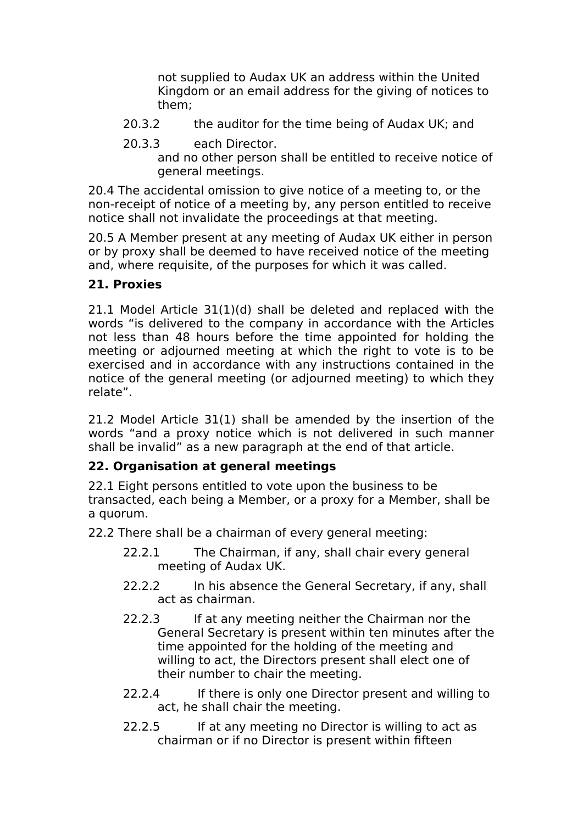not supplied to Audax UK an address within the United Kingdom or an email address for the giving of notices to them;

- 20.3.2 the auditor for the time being of Audax UK; and
- 20.3.3 each Director. and no other person shall be entitled to receive notice of general meetings.

20.4 The accidental omission to give notice of a meeting to, or the non-receipt of notice of a meeting by, any person entitled to receive notice shall not invalidate the proceedings at that meeting.

20.5 A Member present at any meeting of Audax UK either in person or by proxy shall be deemed to have received notice of the meeting and, where requisite, of the purposes for which it was called.

## **21. Proxies**

21.1 Model Article 31(1)(d) shall be deleted and replaced with the words "is delivered to the company in accordance with the Articles not less than 48 hours before the time appointed for holding the meeting or adjourned meeting at which the right to vote is to be exercised and in accordance with any instructions contained in the notice of the general meeting (or adjourned meeting) to which they relate".

21.2 Model Article 31(1) shall be amended by the insertion of the words "and a proxy notice which is not delivered in such manner shall be invalid" as a new paragraph at the end of that article.

# **22. Organisation at general meetings**

22.1 Eight persons entitled to vote upon the business to be transacted, each being a Member, or a proxy for a Member, shall be a quorum.

22.2 There shall be a chairman of every general meeting:

- 22.2.1 The Chairman, if any, shall chair every general meeting of Audax UK.
- 22.2.2 In his absence the General Secretary, if any, shall act as chairman.
- 22.2.3 If at any meeting neither the Chairman nor the General Secretary is present within ten minutes after the time appointed for the holding of the meeting and willing to act, the Directors present shall elect one of their number to chair the meeting.
- 22.2.4 If there is only one Director present and willing to act, he shall chair the meeting.
- 22.2.5 If at any meeting no Director is willing to act as chairman or if no Director is present within fifteen